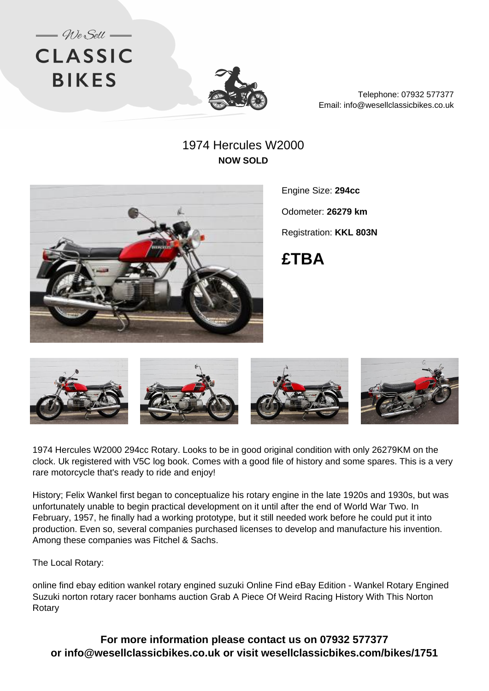



Telephone: 07932 577377 Email: info@wesellclassicbikes.co.uk

## 1974 Hercules W2000 **NOW SOLD**



Engine Size: **294cc**

Odometer: **26279 km**

Registration: **KKL 803N**

**£TBA**



1974 Hercules W2000 294cc Rotary. Looks to be in good original condition with only 26279KM on the clock. Uk registered with V5C log book. Comes with a good file of history and some spares. This is a very rare motorcycle that's ready to ride and enjoy!

History; Felix Wankel first began to conceptualize his rotary engine in the late 1920s and 1930s, but was unfortunately unable to begin practical development on it until after the end of World War Two. In February, 1957, he finally had a working prototype, but it still needed work before he could put it into production. Even so, several companies purchased licenses to develop and manufacture his invention. Among these companies was Fitchel & Sachs.

The Local Rotary:

online find ebay edition wankel rotary engined suzuki Online Find eBay Edition - Wankel Rotary Engined Suzuki norton rotary racer bonhams auction Grab A Piece Of Weird Racing History With This Norton Rotary

**For more information please contact us on 07932 577377 or info@wesellclassicbikes.co.uk or visit wesellclassicbikes.com/bikes/1751**